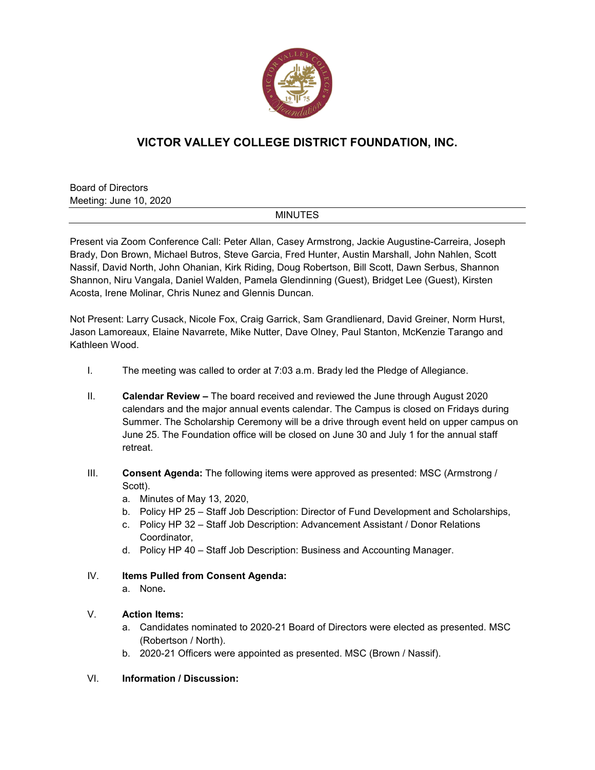

# **VICTOR VALLEY COLLEGE DISTRICT FOUNDATION, INC.**

Board of Directors Meeting: June 10, 2020

#### MINUTES

Present via Zoom Conference Call: Peter Allan, Casey Armstrong, Jackie Augustine-Carreira, Joseph Brady, Don Brown, Michael Butros, Steve Garcia, Fred Hunter, Austin Marshall, John Nahlen, Scott Nassif, David North, John Ohanian, Kirk Riding, Doug Robertson, Bill Scott, Dawn Serbus, Shannon Shannon, Niru Vangala, Daniel Walden, Pamela Glendinning (Guest), Bridget Lee (Guest), Kirsten Acosta, Irene Molinar, Chris Nunez and Glennis Duncan.

Not Present: Larry Cusack, Nicole Fox, Craig Garrick, Sam Grandlienard, David Greiner, Norm Hurst, Jason Lamoreaux, Elaine Navarrete, Mike Nutter, Dave Olney, Paul Stanton, McKenzie Tarango and Kathleen Wood.

- I. The meeting was called to order at 7:03 a.m. Brady led the Pledge of Allegiance.
- II. **Calendar Review –** The board received and reviewed the June through August 2020 calendars and the major annual events calendar. The Campus is closed on Fridays during Summer. The Scholarship Ceremony will be a drive through event held on upper campus on June 25. The Foundation office will be closed on June 30 and July 1 for the annual staff retreat.
- III. **Consent Agenda:** The following items were approved as presented: MSC (Armstrong / Scott).
	- a. Minutes of May 13, 2020,
	- b. Policy HP 25 Staff Job Description: Director of Fund Development and Scholarships,
	- c. Policy HP 32 Staff Job Description: Advancement Assistant / Donor Relations Coordinator,
	- d. Policy HP 40 Staff Job Description: Business and Accounting Manager.
- IV. **Items Pulled from Consent Agenda:**
	- a. None**.**

#### V. **Action Items:**

- a. Candidates nominated to 2020-21 Board of Directors were elected as presented. MSC (Robertson / North).
- b. 2020-21 Officers were appointed as presented. MSC (Brown / Nassif).

## VI. **Information / Discussion:**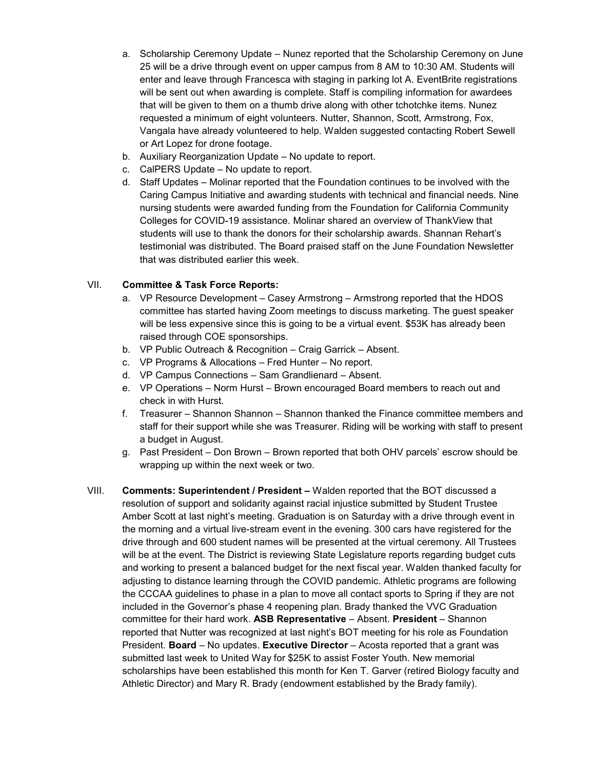- a. Scholarship Ceremony Update Nunez reported that the Scholarship Ceremony on June 25 will be a drive through event on upper campus from 8 AM to 10:30 AM. Students will enter and leave through Francesca with staging in parking lot A. EventBrite registrations will be sent out when awarding is complete. Staff is compiling information for awardees that will be given to them on a thumb drive along with other tchotchke items. Nunez requested a minimum of eight volunteers. Nutter, Shannon, Scott, Armstrong, Fox, Vangala have already volunteered to help. Walden suggested contacting Robert Sewell or Art Lopez for drone footage.
- b. Auxiliary Reorganization Update No update to report.
- c. CalPERS Update No update to report.
- d. Staff Updates Molinar reported that the Foundation continues to be involved with the Caring Campus Initiative and awarding students with technical and financial needs. Nine nursing students were awarded funding from the Foundation for California Community Colleges for COVID-19 assistance. Molinar shared an overview of ThankView that students will use to thank the donors for their scholarship awards. Shannan Rehart's testimonial was distributed. The Board praised staff on the June Foundation Newsletter that was distributed earlier this week.

## VII. **Committee & Task Force Reports:**

- a. VP Resource Development Casey Armstrong Armstrong reported that the HDOS committee has started having Zoom meetings to discuss marketing. The guest speaker will be less expensive since this is going to be a virtual event. \$53K has already been raised through COE sponsorships.
- b. VP Public Outreach & Recognition Craig Garrick Absent.
- c. VP Programs & Allocations Fred Hunter No report.
- d. VP Campus Connections Sam Grandlienard Absent.
- e. VP Operations Norm Hurst Brown encouraged Board members to reach out and check in with Hurst.
- f. Treasurer Shannon Shannon Shannon thanked the Finance committee members and staff for their support while she was Treasurer. Riding will be working with staff to present a budget in August.
- g. Past President Don Brown Brown reported that both OHV parcels' escrow should be wrapping up within the next week or two.
- VIII. **Comments: Superintendent / President –** Walden reported that the BOT discussed a resolution of support and solidarity against racial injustice submitted by Student Trustee Amber Scott at last night's meeting. Graduation is on Saturday with a drive through event in the morning and a virtual live-stream event in the evening. 300 cars have registered for the drive through and 600 student names will be presented at the virtual ceremony. All Trustees will be at the event. The District is reviewing State Legislature reports regarding budget cuts and working to present a balanced budget for the next fiscal year. Walden thanked faculty for adjusting to distance learning through the COVID pandemic. Athletic programs are following the CCCAA guidelines to phase in a plan to move all contact sports to Spring if they are not included in the Governor's phase 4 reopening plan. Brady thanked the VVC Graduation committee for their hard work. **ASB Representative** – Absent. **President** – Shannon reported that Nutter was recognized at last night's BOT meeting for his role as Foundation President. **Board** – No updates. **Executive Director** – Acosta reported that a grant was submitted last week to United Way for \$25K to assist Foster Youth. New memorial scholarships have been established this month for Ken T. Garver (retired Biology faculty and Athletic Director) and Mary R. Brady (endowment established by the Brady family).